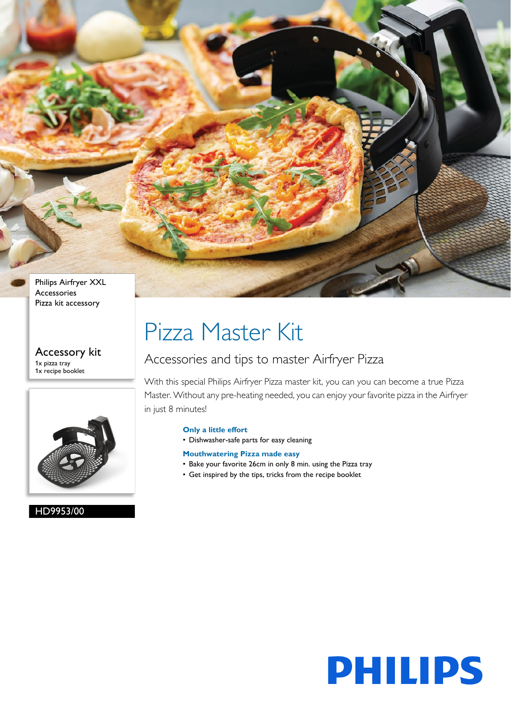

Accessory kit 1x pizza tray 1x recipe booklet



HD9953/00

# Pizza Master Kit

### Accessories and tips to master Airfryer Pizza

With this special Philips Airfryer Pizza master kit, you can you can become a true Pizza Master. Without any pre-heating needed, you can enjoy your favorite pizza in the Airfryer in just 8 minutes!

#### **Only a little effort**

• Dishwasher-safe parts for easy cleaning

### **Mouthwatering Pizza made easy**

- Bake your favorite 26cm in only 8 min. using the Pizza tray
- Get inspired by the tips, tricks from the recipe booklet